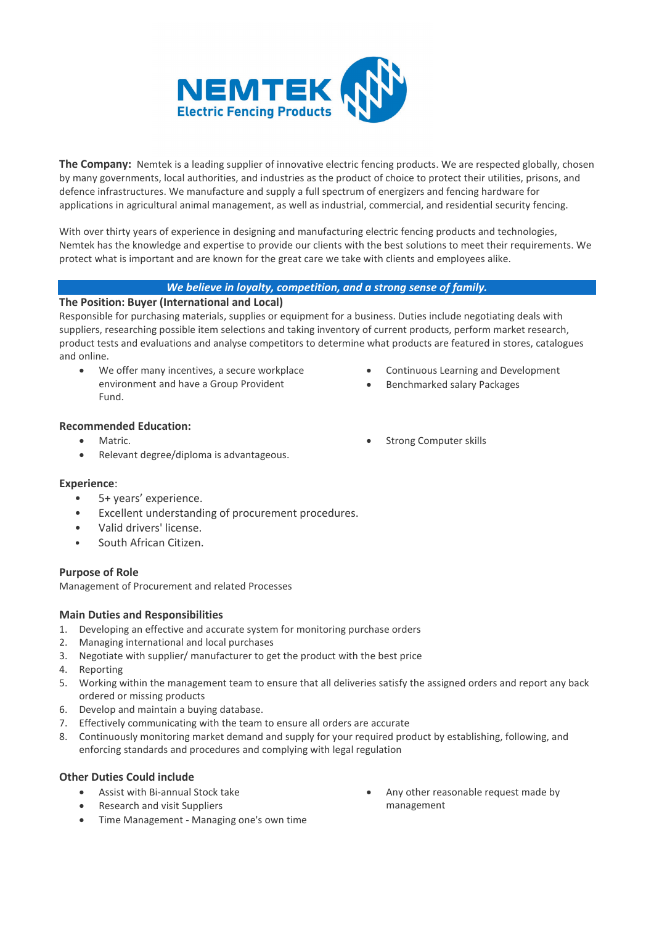

**The Company:** Nemtek is a leading supplier of innovative electric fencing products. We are respected globally, chosen by many governments, local authorities, and industries as the product of choice to protect their utilities, prisons, and defence infrastructures. We manufacture and supply a full spectrum of energizers and fencing hardware for applications in agricultural animal management, as well as industrial, commercial, and residential security fencing.

With over thirty years of experience in designing and manufacturing electric fencing products and technologies, Nemtek has the knowledge and expertise to provide our clients with the best solutions to meet their requirements. We protect what is important and are known for the great care we take with clients and employees alike.

# *We believe in loyalty, competition, and a strong sense of family.*

## **The Position: Buyer (International and Local)**

Responsible for purchasing materials, supplies or equipment for a business. Duties include negotiating deals with suppliers, researching possible item selections and taking inventory of current products, perform market research, product tests and evaluations and analyse competitors to determine what products are featured in stores, catalogues and online.

- We offer many incentives, a secure workplace environment and have a Group Provident Fund.
- Continuous Learning and Development
- Benchmarked salary Packages

Strong Computer skills

- **Recommended Education:**
	- Matric.
	- Relevant degree/diploma is advantageous.

## **Experience**:

- 5+ years' experience.
- Excellent understanding of procurement procedures.
- Valid drivers' license.
- South African Citizen.

## **Purpose of Role**

Management of Procurement and related Processes

## **Main Duties and Responsibilities**

- 1. Developing an effective and accurate system for monitoring purchase orders
- 2. Managing international and local purchases
- 3. Negotiate with supplier/ manufacturer to get the product with the best price
- 4. Reporting
- 5. Working within the management team to ensure that all deliveries satisfy the assigned orders and report any back ordered or missing products
- 6. Develop and maintain a buying database.
- 7. Effectively communicating with the team to ensure all orders are accurate
- 8. Continuously monitoring market demand and supply for your required product by establishing, following, and enforcing standards and procedures and complying with legal regulation

## **Other Duties Could include**

- Assist with Bi-annual Stock take
- Research and visit Suppliers
- Time Management Managing one's own time
- Any other reasonable request made by management